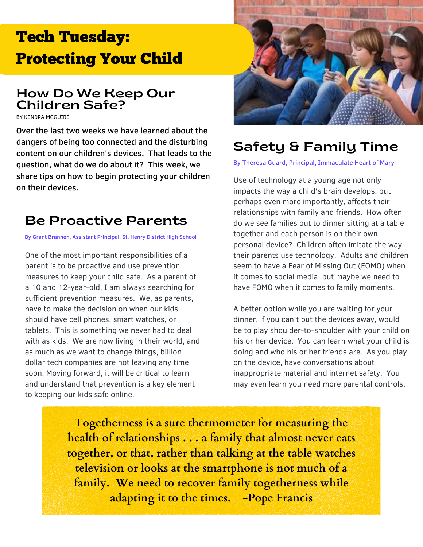# Tech Tuesday: Protecting Your Child

## How Do We Keep Our Children Safe?

BY KENDRA MCGUIRE

Over the last two weeks we have learned about the dangers of being too connected and the disturbing content on our children's devices. That leads to the question, what do we do about it? This week, we share tips on how to begin protecting your children on their devices.

# Be Proactive Parents

By Grant Brannen, Assistant Principal, St. Henry District High School

One of the most important responsibilities of a parent is to be proactive and use prevention measures to keep your child safe. As a parent of a 10 and 12-year-old, I am always searching for sufficient prevention measures. We, as parents, have to make the decision on when our kids should have cell phones, smart watches, or tablets. This is something we never had to deal with as kids. We are now living in their world, and as much as we want to change things, billion dollar tech companies are not leaving any time soon. Moving forward, it will be critical to learn and understand that prevention is a key element to keeping our kids safe online.



# Safety & Family Time

By Theresa Guard, Principal, Immaculate Heart of Mary

Use of technology at a young age not only impacts the way a child's brain develops, but perhaps even more importantly, affects their relationships with family and friends. How often do we see families out to dinner sitting at a table together and each person is on their own personal device? Children often imitate the way their parents use technology. Adults and children seem to have a Fear of Missing Out (FOMO) when it comes to social media, but maybe we need to have FOMO when it comes to family moments.

A better option while you are waiting for your dinner, if you can't put the devices away, would be to play shoulder-to-shoulder with your child on his or her device. You can learn what your child is doing and who his or her friends are. As you play on the device, have conversations about inappropriate material and internet safety. You may even learn you need more parental controls.

**Togetherness is a sure thermometer for measuring the health of relationships . . . a family that almost never eats together, or that, rather than talking at the table watches television or looks at the smartphone is not much of a family. We need to recover family togetherness while adapting it to the times. -Pope Francis**